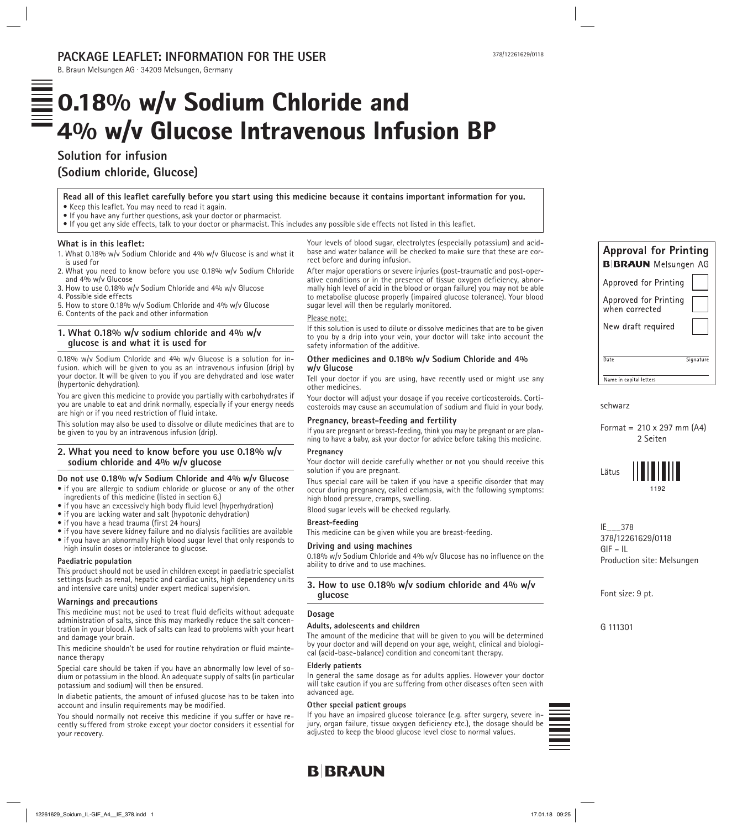# **PACKAGE LEAFLET: INFORMATION FOR THE USER**

B. Braun Melsungen AG · 34209 Melsungen, Germany

# $\equiv$  0.18% w/v Sodium Chloride and  $=$  4% w/v Glucose Intravenous Infusion BP

# **Solution for infusion (Sodium chloride, Glucose)**

**Read all of this leaflet carefully before you start using this medicine because it contains important information for you.** • Keep this leaflet. You may need to read it again.

- If you have any further questions, ask your doctor or pharmacist.
- If you get any side effects, talk to your doctor or pharmacist. This includes any possible side effects not listed in this leaflet.

#### **What is in this leaflet:**

- 1. What 0.18% w/v Sodium Chloride and 4% w/v Glucose is and what it is used for
- 2. What you need to know before you use 0.18% w/v Sodium Chloride and 4% w/v Glucose
- 3. How to use 0.18% w/v Sodium Chloride and 4% w/v Glucose
- 4. Possible side effects
- 5. How to store 0.18% w/v Sodium Chloride and 4% w/v Glucose
- 6. Contents of the pack and other information

# **1. What 0.18% w/v sodium chloride and 4% w/v glucose is and what it is used for**

0.18% w/v Sodium Chloride and 4% w/v Glucose is a solution for infusion. which will be given to you as an intravenous infusion (drip) by your doctor. It will be given to you if you are dehydrated and lose water (hypertonic dehydration).

You are given this medicine to provide you partially with carbohydrates if you are unable to eat and drink normally, especially if your energy needs are high or if you need restriction of fluid intake.

This solution may also be used to dissolve or dilute medicines that are to be given to you by an intravenous infusion (drip).

# **2. What you need to know before you use 0.18% w/v sodium chloride and 4% w/v glucose**

#### **Do not use 0.18% w/v Sodium Chloride and 4% w/v Glucose**

• if you are allergic to sodium chloride or glucose or any of the other ingredients of this medicine (listed in section 6.)

- if you have an excessively high body fluid level (hyperhydration)
- if you are lacking water and salt (hypotonic dehydration)
- if you have a head trauma (first 24 hours)
- if you have severe kidney failure and no dialysis facilities are available
- if you have an abnormally high blood sugar level that only responds to high insulin doses or intolerance to glucose.

#### **Paediatric population**

This product should not be used in children except in paediatric specialist settings (such as renal, hepatic and cardiac units, high dependency units and intensive care units) under expert medical supervision.

#### **Warnings and precautions**

This medicine must not be used to treat fluid deficits without adequate administration of salts, since this may markedly reduce the salt concentration in your blood. A lack of salts can lead to problems with your heart and damage your brain.

This medicine shouldn't be used for routine rehydration or fluid maintenance therapy

Special care should be taken if you have an abnormally low level of sodium or potassium in the blood. An adequate supply of salts (in particular potassium and sodium) will then be ensured.

In diabetic patients, the amount of infused glucose has to be taken into account and insulin requirements may be modified.

You should normally not receive this medicine if you suffer or have recently suffered from stroke except your doctor considers it essential for your recovery.

Your levels of blood sugar, electrolytes (especially potassium) and acidbase and water balance will be checked to make sure that these are correct before and during infusion.

After major operations or severe injuries (post-traumatic and post-operative conditions or in the presence of tissue oxygen deficiency, abnormally high level of acid in the blood or organ failure) you may not be able to metabolise glucose properly (impaired glucose tolerance). Your blood sugar level will then be regularly monitored.

# Please note:

If this solution is used to dilute or dissolve medicines that are to be given to you by a drip into your vein, your doctor will take into account the safety information of the additive.

#### **Other medicines and 0.18% w/v Sodium Chloride and 4% w/v Glucose**

Tell your doctor if you are using, have recently used or might use any other medicines.

Your doctor will adjust your dosage if you receive corticosteroids. Corticosteroids may cause an accumulation of sodium and fluid in your body.

#### **Pregnancy, breast-feeding and fertility**

If you are pregnant or breast-feeding, think you may be pregnant or are planning to have a baby, ask your doctor for advice before taking this medicine.

#### **Pregnancy**

Your doctor will decide carefully whether or not you should receive this solution if you are pregnant.

Thus special care will be taken if you have a specific disorder that may occur during pregnancy, called eclampsia, with the following symptoms: high blood pressure, cramps, swelling.

Blood sugar levels will be checked regularly.

#### **Breast-feeding**

This medicine can be given while you are breast-feeding.

#### **Driving and using machines**

0.18% w/v Sodium Chloride and 4% w/v Glucose has no influence on the ability to drive and to use machines.

# **3. How to use 0.18% w/v sodium chloride and 4% w/v glucose**

#### **Dosage**

#### **Adults, adolescents and children**

The amount of the medicine that will be given to you will be determined by your doctor and will depend on your age, weight, clinical and biological (acid-base-balance) condition and concomitant therapy.

#### **Elderly patients**

In general the same dosage as for adults applies. However your doctor will take caution if you are suffering from other diseases often seen with advanced age.

#### **Other special patient groups**

If you have an impaired glucose tolerance (e.g. after surgery, severe injury, organ failure, tissue oxygen deficiency etc.), the dosage should be adjusted to keep the blood glucose level close to normal values.



# **B**BRAUN